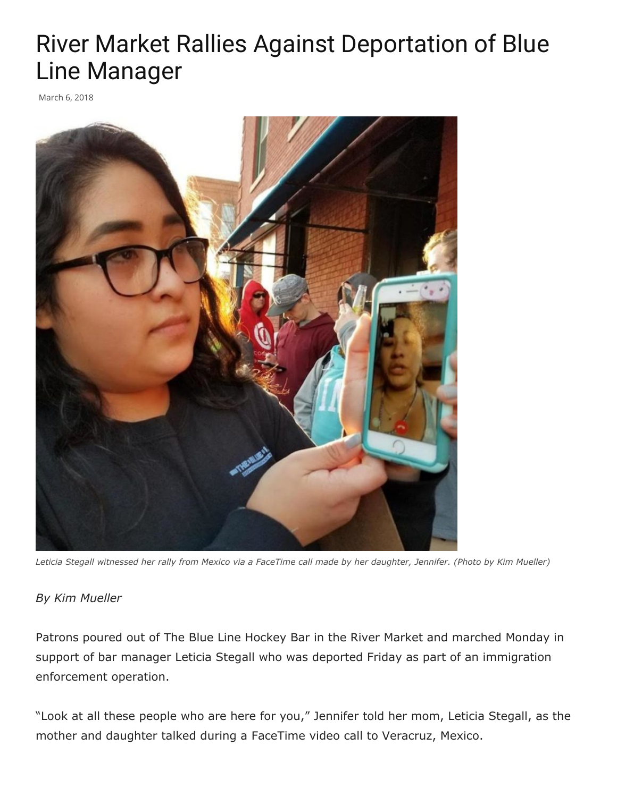## River Market Rallies Against Deportation of Blue Line Manager

March 6, 2018



*Leticia Stegall witnessed her rally from Mexico via a FaceTime call made by her daughter, Jennifer. (Photo by Kim Mueller)*

## *By Kim Mueller*

Patrons poured out of The Blue Line Hockey Bar in the River Market and marched Monday in support of bar manager Leticia Stegall who was deported Friday as part of an immigration enforcement operation.

"Look at all these people who are here for you," Jennifer told her mom, Leticia Stegall, as the mother and daughter talked during a FaceTime video call to Veracruz, Mexico.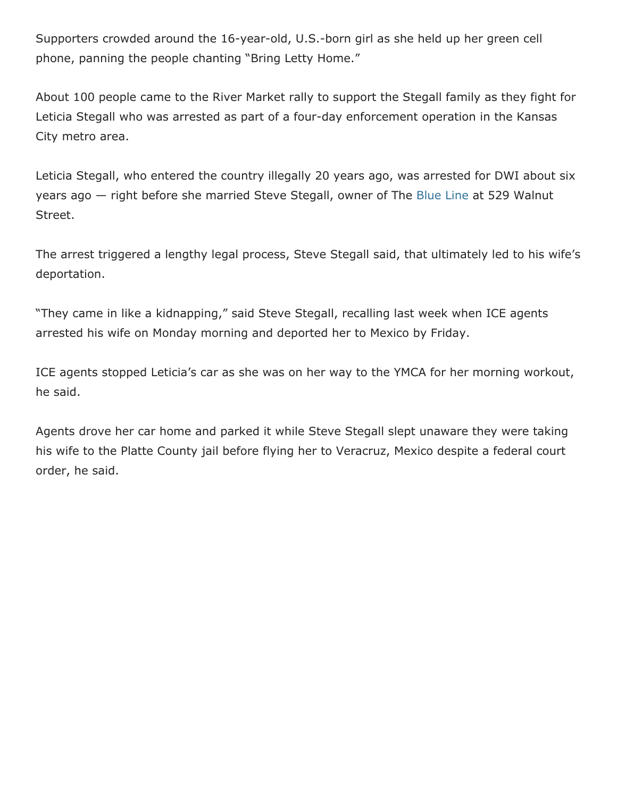Supporters crowded around the 16-year-old, U.S.-born girl as she held up her green cell phone, panning the people chanting "Bring Letty Home."

About 100 people came to the River Market rally to support the Stegall family as they fight for Leticia Stegall who was arrested as part of a four-day enforcement operation in the Kansas City metro area.

Leticia Stegall, who entered the country illegally 20 years ago, was arrested for DWI about six years ago — right before she married Steve Stegall, owner of The [Blue Line](http://thebluelinekc.com/) at 529 Walnut Street.

The arrest triggered a lengthy legal process, Steve Stegall said, that ultimately led to his wife's deportation.

"They came in like a kidnapping," said Steve Stegall, recalling last week when ICE agents arrested his wife on Monday morning and deported her to Mexico by Friday.

ICE agents stopped Leticia's car as she was on her way to the YMCA for her morning workout, he said.

Agents drove her car home and parked it while Steve Stegall slept unaware they were taking his wife to the Platte County jail before flying her to Veracruz, Mexico despite a federal court order, he said.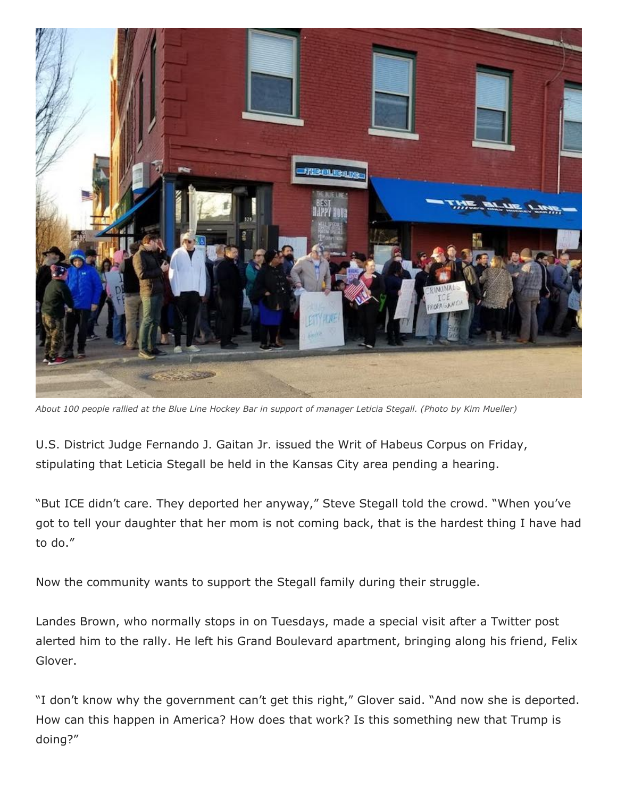

*About 100 people rallied at the Blue Line Hockey Bar in support of manager Leticia Stegall. (Photo by Kim Mueller)*

U.S. District Judge Fernando J. Gaitan Jr. issued the Writ of Habeus Corpus on Friday, stipulating that Leticia Stegall be held in the Kansas City area pending a hearing.

"But ICE didn't care. They deported her anyway," Steve Stegall told the crowd. "When you've got to tell your daughter that her mom is not coming back, that is the hardest thing I have had to do."

Now the community wants to support the Stegall family during their struggle.

Landes Brown, who normally stops in on Tuesdays, made a special visit after a Twitter post alerted him to the rally. He left his Grand Boulevard apartment, bringing along his friend, Felix Glover.

"I don't know why the government can't get this right," Glover said. "And now she is deported. How can this happen in America? How does that work? Is this something new that Trump is doing?"